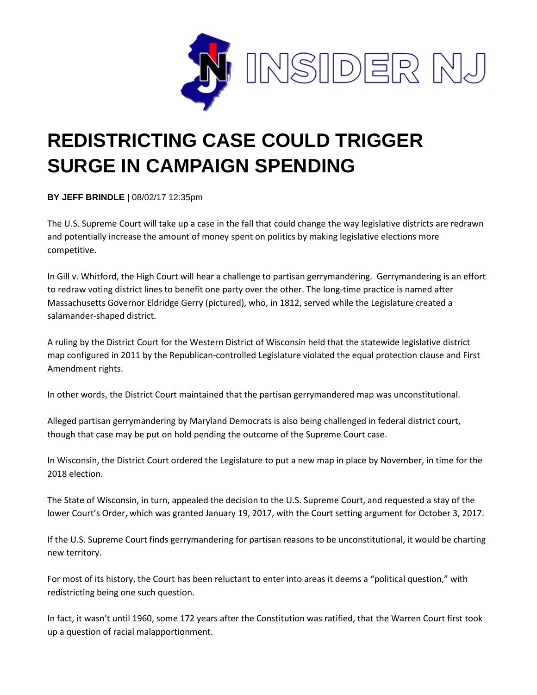

## **REDISTRICTING CASE COULD TRIGGER SURGE IN CAMPAIGN SPENDING**

**BY JEFF BRINDLE |** 08/02/17 12:35pm

The U.S. Supreme Court will take up a case in the fall that could change the way legislative districts are redrawn and potentially increase the amount of money spent on politics by making legislative elections more competitive.

In Gill v. Whitford, the High Court will hear a challenge to partisan gerrymandering. Gerrymandering is an effort to redraw voting district lines to benefit one party over the other. The long-time practice is named after Massachusetts Governor Eldridge Gerry (pictured), who, in 1812, served while the Legislature created a salamander-shaped district.

A ruling by the District Court for the Western District of Wisconsin held that the statewide legislative district map configured in 2011 by the Republican-controlled Legislature violated the equal protection clause and First Amendment rights.

In other words, the District Court maintained that the partisan gerrymandered map was unconstitutional.

Alleged partisan gerrymandering by Maryland Democrats is also being challenged in federal district court, though that case may be put on hold pending the outcome of the Supreme Court case.

In Wisconsin, the District Court ordered the Legislature to put a new map in place by November, in time for the 2018 election.

The State of Wisconsin, in turn, appealed the decision to the U.S. Supreme Court, and requested a stay of the lower Court's Order, which was granted January 19, 2017, with the Court setting argument for October 3, 2017.

If the U.S. Supreme Court finds gerrymandering for partisan reasons to be unconstitutional, it would be charting new territory.

For most of its history, the Court has been reluctant to enter into areas it deems a "political question," with redistricting being one such question.

In fact, it wasn't until 1960, some 172 years after the Constitution was ratified, that the Warren Court first took up a question of racial malapportionment.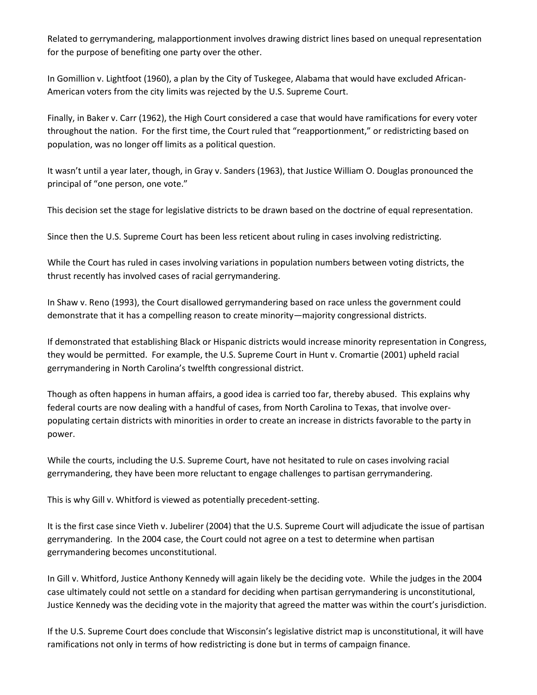Related to gerrymandering, malapportionment involves drawing district lines based on unequal representation for the purpose of benefiting one party over the other.

In Gomillion v. Lightfoot (1960), a plan by the City of Tuskegee, Alabama that would have excluded African-American voters from the city limits was rejected by the U.S. Supreme Court.

Finally, in Baker v. Carr (1962), the High Court considered a case that would have ramifications for every voter throughout the nation. For the first time, the Court ruled that "reapportionment," or redistricting based on population, was no longer off limits as a political question.

It wasn't until a year later, though, in Gray v. Sanders (1963), that Justice William O. Douglas pronounced the principal of "one person, one vote."

This decision set the stage for legislative districts to be drawn based on the doctrine of equal representation.

Since then the U.S. Supreme Court has been less reticent about ruling in cases involving redistricting.

While the Court has ruled in cases involving variations in population numbers between voting districts, the thrust recently has involved cases of racial gerrymandering.

In Shaw v. Reno (1993), the Court disallowed gerrymandering based on race unless the government could demonstrate that it has a compelling reason to create minority—majority congressional districts.

If demonstrated that establishing Black or Hispanic districts would increase minority representation in Congress, they would be permitted. For example, the U.S. Supreme Court in Hunt v. Cromartie (2001) upheld racial gerrymandering in North Carolina's twelfth congressional district.

Though as often happens in human affairs, a good idea is carried too far, thereby abused. This explains why federal courts are now dealing with a handful of cases, from North Carolina to Texas, that involve overpopulating certain districts with minorities in order to create an increase in districts favorable to the party in power.

While the courts, including the U.S. Supreme Court, have not hesitated to rule on cases involving racial gerrymandering, they have been more reluctant to engage challenges to partisan gerrymandering.

This is why Gill v. Whitford is viewed as potentially precedent-setting.

It is the first case since Vieth v. Jubelirer (2004) that the U.S. Supreme Court will adjudicate the issue of partisan gerrymandering. In the 2004 case, the Court could not agree on a test to determine when partisan gerrymandering becomes unconstitutional.

In Gill v. Whitford, Justice Anthony Kennedy will again likely be the deciding vote. While the judges in the 2004 case ultimately could not settle on a standard for deciding when partisan gerrymandering is unconstitutional, Justice Kennedy was the deciding vote in the majority that agreed the matter was within the court's jurisdiction.

If the U.S. Supreme Court does conclude that Wisconsin's legislative district map is unconstitutional, it will have ramifications not only in terms of how redistricting is done but in terms of campaign finance.